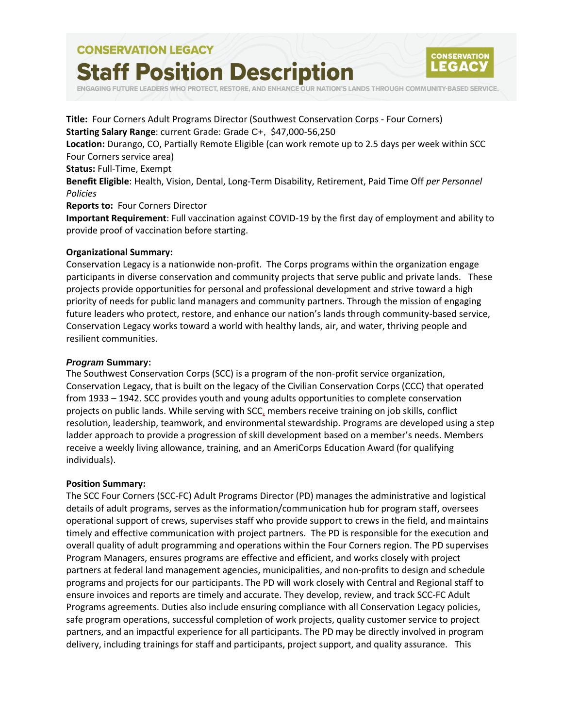# **CONSERVATION LEGACY Staff Position Description**



ENGAGING FUTURE LEADERS WHO PROTECT, RESTORE, AND ENHANCE OUR NATION'S LANDS THROUGH COMMUNITY-BASED SERVICE.

**Title:** Four Corners Adult Programs Director (Southwest Conservation Corps - Four Corners) **Starting Salary Range**: current Grade: Grade C+, \$47,000-56,250 **Location:** Durango, CO, Partially Remote Eligible (can work remote up to 2.5 days per week within SCC Four Corners service area) **Status:** Full-Time, Exempt **Benefit Eligible**: Health, Vision, Dental, Long-Term Disability, Retirement, Paid Time Off *per Personnel Policies* **Reports to:** Four Corners Director **Important Requirement**: Full vaccination against COVID-19 by the first day of employment and ability to provide proof of vaccination before starting.

#### **Organizational Summary:**

Conservation Legacy is a nationwide non-profit. The Corps programs within the organization engage participants in diverse conservation and community projects that serve public and private lands. These projects provide opportunities for personal and professional development and strive toward a high priority of needs for public land managers and community partners. Through the mission of engaging future leaders who protect, restore, and enhance our nation's lands through community-based service, Conservation Legacy works toward a world with healthy lands, air, and water, thriving people and resilient communities.

#### *Program* **Summary:**

The Southwest Conservation Corps (SCC) is a program of the non-profit service organization, Conservation Legacy, that is built on the legacy of the Civilian Conservation Corps (CCC) that operated from 1933 – 1942. SCC provides youth and young adults opportunities to complete conservation projects on public lands. While serving with SCC, members receive training on job skills, conflict resolution, leadership, teamwork, and environmental stewardship. Programs are developed using a step ladder approach to provide a progression of skill development based on a member's needs. Members receive a weekly living allowance, training, and an AmeriCorps Education Award (for qualifying individuals).

#### **Position Summary:**

The SCC Four Corners (SCC-FC) Adult Programs Director (PD) manages the administrative and logistical details of adult programs, serves as the information/communication hub for program staff, oversees operational support of crews, supervises staff who provide support to crews in the field, and maintains timely and effective communication with project partners. The PD is responsible for the execution and overall quality of adult programming and operations within the Four Corners region. The PD supervises Program Managers, ensures programs are effective and efficient, and works closely with project partners at federal land management agencies, municipalities, and non-profits to design and schedule programs and projects for our participants. The PD will work closely with Central and Regional staff to ensure invoices and reports are timely and accurate. They develop, review, and track SCC-FC Adult Programs agreements. Duties also include ensuring compliance with all Conservation Legacy policies, safe program operations, successful completion of work projects, quality customer service to project partners, and an impactful experience for all participants. The PD may be directly involved in program delivery, including trainings for staff and participants, project support, and quality assurance. This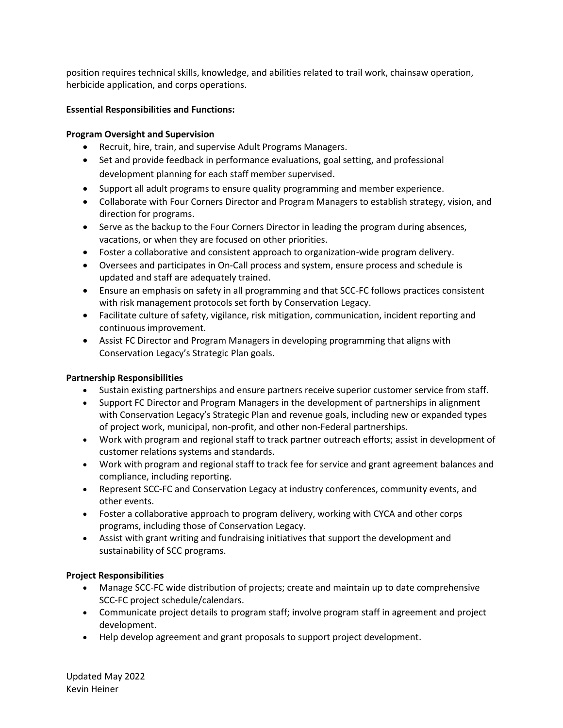position requires technical skills, knowledge, and abilities related to trail work, chainsaw operation, herbicide application, and corps operations.

#### **Essential Responsibilities and Functions:**

#### **Program Oversight and Supervision**

- Recruit, hire, train, and supervise Adult Programs Managers.
- Set and provide feedback in performance evaluations, goal setting, and professional development planning for each staff member supervised.
- Support all adult programs to ensure quality programming and member experience.
- Collaborate with Four Corners Director and Program Managers to establish strategy, vision, and direction for programs.
- Serve as the backup to the Four Corners Director in leading the program during absences, vacations, or when they are focused on other priorities.
- Foster a collaborative and consistent approach to organization-wide program delivery.
- Oversees and participates in On-Call process and system, ensure process and schedule is updated and staff are adequately trained.
- Ensure an emphasis on safety in all programming and that SCC-FC follows practices consistent with risk management protocols set forth by Conservation Legacy.
- Facilitate culture of safety, vigilance, risk mitigation, communication, incident reporting and continuous improvement.
- Assist FC Director and Program Managers in developing programming that aligns with Conservation Legacy's Strategic Plan goals.

## **Partnership Responsibilities**

- Sustain existing partnerships and ensure partners receive superior customer service from staff.
- Support FC Director and Program Managers in the development of partnerships in alignment with Conservation Legacy's Strategic Plan and revenue goals, including new or expanded types of project work, municipal, non-profit, and other non-Federal partnerships.
- Work with program and regional staff to track partner outreach efforts; assist in development of customer relations systems and standards.
- Work with program and regional staff to track fee for service and grant agreement balances and compliance, including reporting.
- Represent SCC-FC and Conservation Legacy at industry conferences, community events, and other events.
- Foster a collaborative approach to program delivery, working with CYCA and other corps programs, including those of Conservation Legacy.
- Assist with grant writing and fundraising initiatives that support the development and sustainability of SCC programs.

## **Project Responsibilities**

- Manage SCC-FC wide distribution of projects; create and maintain up to date comprehensive SCC-FC project schedule/calendars.
- Communicate project details to program staff; involve program staff in agreement and project development.
- Help develop agreement and grant proposals to support project development.

Updated May 2022 Kevin Heiner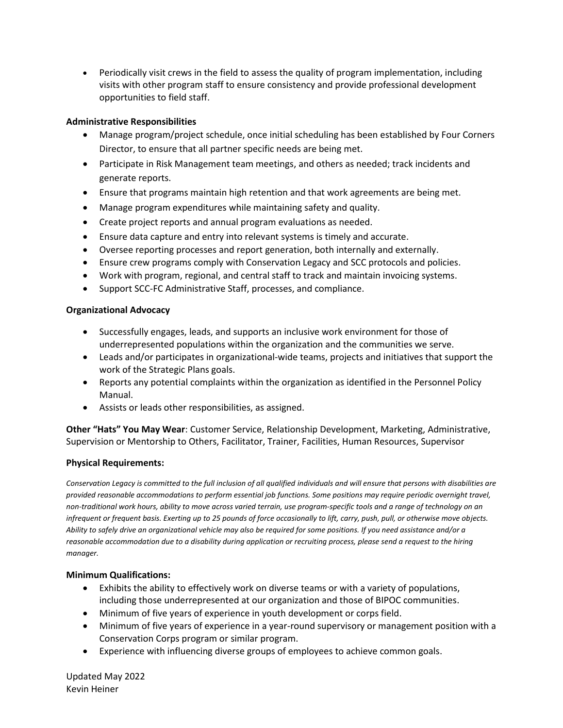• Periodically visit crews in the field to assess the quality of program implementation, including visits with other program staff to ensure consistency and provide professional development opportunities to field staff.

## **Administrative Responsibilities**

- Manage program/project schedule, once initial scheduling has been established by Four Corners Director, to ensure that all partner specific needs are being met.
- Participate in Risk Management team meetings, and others as needed; track incidents and generate reports.
- Ensure that programs maintain high retention and that work agreements are being met.
- Manage program expenditures while maintaining safety and quality.
- Create project reports and annual program evaluations as needed.
- Ensure data capture and entry into relevant systems is timely and accurate.
- Oversee reporting processes and report generation, both internally and externally.
- Ensure crew programs comply with Conservation Legacy and SCC protocols and policies.
- Work with program, regional, and central staff to track and maintain invoicing systems.
- Support SCC-FC Administrative Staff, processes, and compliance.

## **Organizational Advocacy**

- Successfully engages, leads, and supports an inclusive work environment for those of underrepresented populations within the organization and the communities we serve.
- Leads and/or participates in organizational-wide teams, projects and initiatives that support the work of the Strategic Plans goals.
- Reports any potential complaints within the organization as identified in the Personnel Policy Manual.
- Assists or leads other responsibilities, as assigned.

**Other "Hats" You May Wear**: Customer Service, Relationship Development, Marketing, Administrative, Supervision or Mentorship to Others, Facilitator, Trainer, Facilities, Human Resources, Supervisor

# **Physical Requirements:**

*Conservation Legacy is committed to the full inclusion of all qualified individuals and will ensure that persons with disabilities are provided reasonable accommodations to perform essential job functions. Some positions may require periodic overnight travel, non-traditional work hours, ability to move across varied terrain, use program-specific tools and a range of technology on an infrequent or frequent basis. Exerting up to 25 pounds of force occasionally to lift, carry, push, pull, or otherwise move objects. Ability to safely drive an organizational vehicle may also be required for some positions. If you need assistance and/or a reasonable accommodation due to a disability during application or recruiting process, please send a request to the hiring manager.*

# **Minimum Qualifications:**

- Exhibits the ability to effectively work on diverse teams or with a variety of populations, including those underrepresented at our organization and those of BIPOC communities.
- Minimum of five years of experience in youth development or corps field.
- Minimum of five years of experience in a year-round supervisory or management position with a Conservation Corps program or similar program.
- Experience with influencing diverse groups of employees to achieve common goals.

Updated May 2022 Kevin Heiner